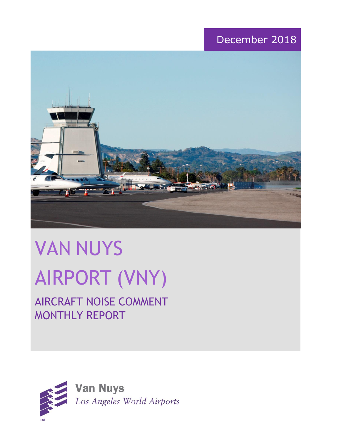# December 2018



# VAN NUYS AIRPORT (VNY)

# AIRCRAFT NOISE COMMENT MONTHLY REPORT

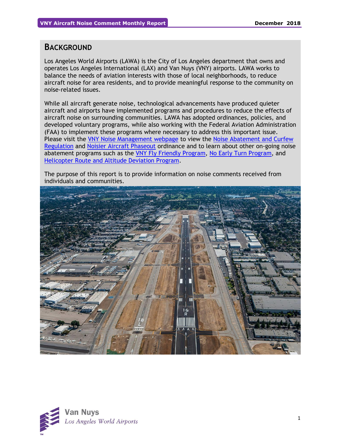## **BACKGROUND**

Los Angeles World Airports (LAWA) is the City of Los Angeles department that owns and operates Los Angeles International (LAX) and Van Nuys (VNY) airports. LAWA works to balance the needs of aviation interests with those of local neighborhoods, to reduce aircraft noise for area residents, and to provide meaningful response to the community on noise-related issues.

While all aircraft generate noise, technological advancements have produced quieter aircraft and airports have implemented programs and procedures to reduce the effects of aircraft noise on surrounding communities. LAWA has adopted ordinances, policies, and developed voluntary programs, while also working with the Federal Aviation Administration (FAA) to implement these programs where necessary to address this important issue. Please visit the [VNY Noise Management webpage](http://www.lawa.org/VNYNoise) to view the [Noise Abatement and Curfew](https://www.lawa.org/-/media/lawa-web/tenants411/file/noise_programs.ashx?la=en&hash=86DDE7D9764689AC37E24CD4FAA33C7FE9FC8DA1#"page=7" )  [Regulation](https://www.lawa.org/-/media/lawa-web/tenants411/file/noise_programs.ashx?la=en&hash=86DDE7D9764689AC37E24CD4FAA33C7FE9FC8DA1#"page=7" ) and [Noisier Aircraft Phaseout](https://www.lawa.org/-/media/lawa-web/tenants411/file/noise_programs.ashx?la=en&hash=86DDE7D9764689AC37E24CD4FAA33C7FE9FC8DA1#page=7) ordinance and to learn about other on-going noise abatement programs such as the [VNY Fly Friendly Program,](https://www.lawa.org/en/lawa-environment/noise-management/van-nuys/vny-fly-friendly-quiet-departure-program) [No Early Turn Program,](https://prodcd.iflyvny.com/en/no-early-turn) and [Helicopter Route and Altitude Deviation Program.](https://www.lawa.org/-/media/lawa-web/tenants411/file/noise_programs.ashx?la=en&hash=86DDE7D9764689AC37E24CD4FAA33C7FE9FC8DA1#"page=8")

The purpose of this report is to provide information on noise comments received from individuals and communities.



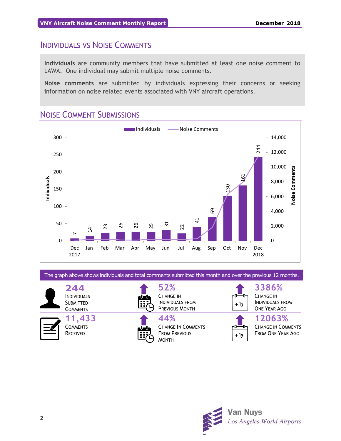# INDIVIDUALS VS NOISE COMMENTS

**Individuals** are community members that have submitted at least one noise comment to LAWA. One individual may submit multiple noise comments.

**Noise comments** are submitted by individuals expressing their concerns or seeking information on noise related events associated with VNY aircraft operations.

# NOISE COMMENT SUBMISSIONS



The graph above shows individuals and total comments submitted this month and over the previous 12 months.

**244** INDIVIDUALS **SUBMITTED COMMENTS** 

**11,433 COMMENTS** RECEIVED



**52%** CHANGE IN INDIVIDUALS FROM PREVIOUS MONTH

**44%** CHANGE IN COMMENTS FROM PREVIOUS MONTH



CHANGE IN INDIVIDUALS FROM ONE YEAR AGO



**12063%** CHANGE IN COMMENTS

FROM ONE YEAR AGO

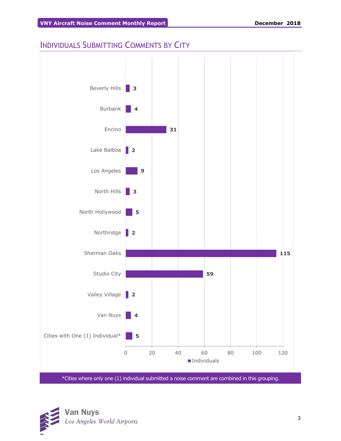# INDIVIDUALS SUBMITTING COMMENTS BY CITY



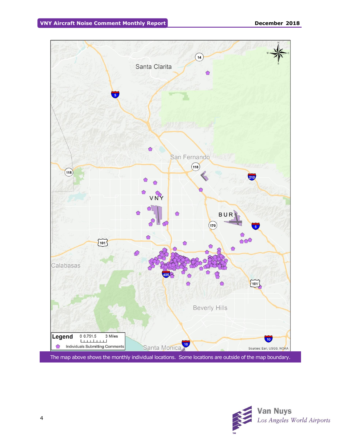

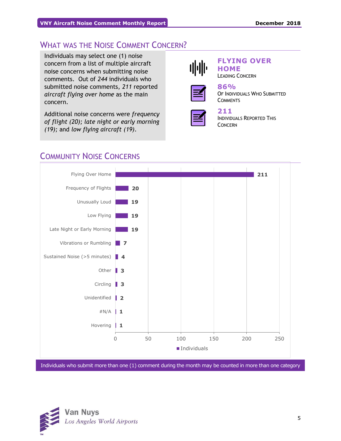# WHAT WAS THE NOISE COMMENT CONCERN?

Individuals may select one (1) noise concern from a list of multiple aircraft noise concerns when submitting noise comments. Out of *244* individuals who submitted noise comments, *211* reported *aircraft flying over home* as the main concern.

Additional noise concerns were *frequency of flight (20); late night or early morning (19);* and *low flying aircraft (19)*.



## **FLYING OVER HOME**

LEADING CONCERN



#### **86%** OF INDIVIDUALS WHO SUBMITTED **COMMENTS**



**211**  INDIVIDUALS REPORTED THIS CONCERN

# COMMUNITY NOISE CONCERNS



Individuals who submit more than one (1) comment during the month may be counted in more than one category